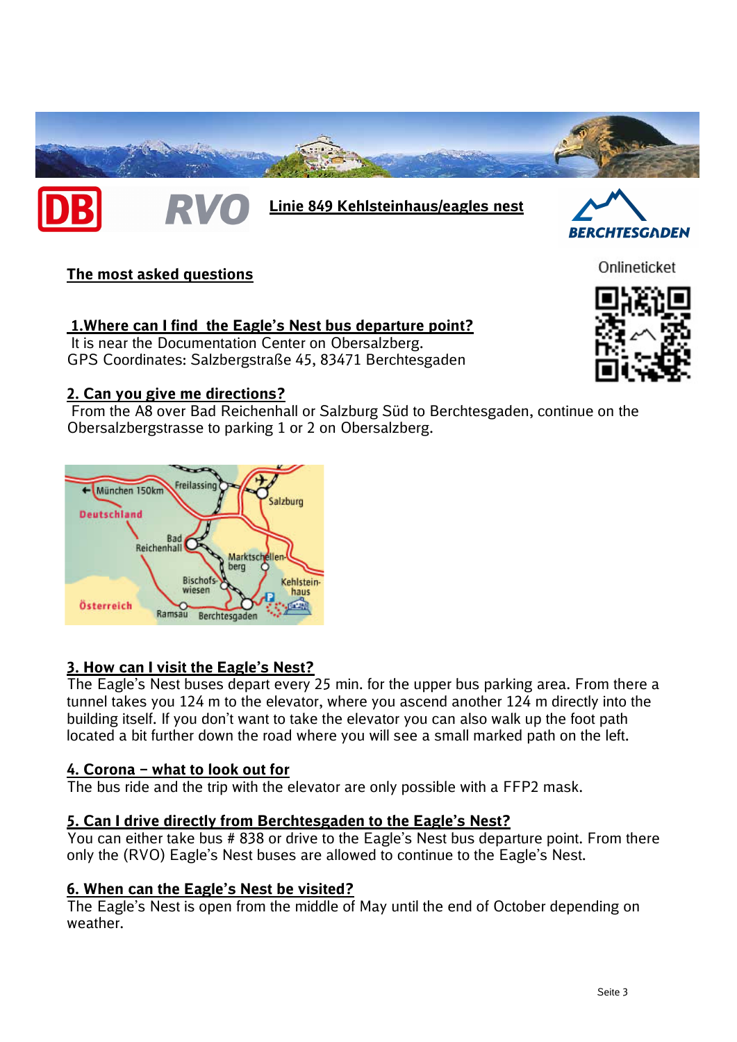

Linie 849 Kehlsteinhaus/eagles nest

# The most asked questions

RVC

#### 1. Where can I find the Eagle's Nest bus departure point?

 It is near the Documentation Center on Obersalzberg. GPS Coordinates: Salzbergstraße 45, 83471 Berchtesgaden

### 2. Can you give me directions?

 From the A8 over Bad Reichenhall or Salzburg Süd to Berchtesgaden, continue on the Obersalzbergstrasse to parking 1 or 2 on Obersalzberg.



## 3. How can I visit the Eagle's Nest?

The Eagle's Nest buses depart every 25 min. for the upper bus parking area. From there a tunnel takes you 124 m to the elevator, where you ascend another 124 m directly into the building itself. If you don't want to take the elevator you can also walk up the foot path located a bit further down the road where you will see a small marked path on the left.

## 4. Corona – what to look out for

The bus ride and the trip with the elevator are only possible with a FFP2 mask.

### 5. Can I drive directly from Berchtesgaden to the Eagle's Nest?

You can either take bus # 838 or drive to the Eagle's Nest bus departure point. From there only the (RVO) Eagle's Nest buses are allowed to continue to the Eagle's Nest.

### 6. When can the Eagle's Nest be visited?

The Eagle's Nest is open from the middle of May until the end of October depending on weather.



**ITESGADEN**